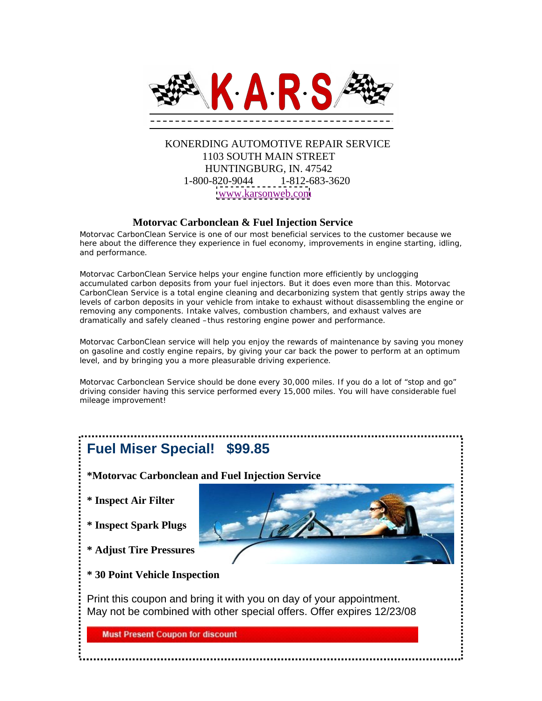

## KONERDING AUTOMOTIVE REPAIR SERVICE 1103 SOUTH MAIN STREET HUNTINGBURG, IN. 47542 1-800-820-9044 1-812-683-3620 [www.karsonweb.com](http://www.karsonweb.com)

#### **Motorvac Carbonclean & Fuel Injection Service**

Motorvac CarbonClean Service is one of our most beneficial services to the customer because we here about the difference they experience in fuel economy, improvements in engine starting, idling, and performance.<br>Motorvac CarbonClean Service helps your engine function more efficiently by unclogging

accumulated carbon deposits from your fuel injectors. But it does even more than this. Motorvac CarbonClean Service is a total engine cleaning and decarbonizing system that gently strips away the levels of carbon deposits in your vehicle from intake to exhaust without disassembling the engine or removing any components. Intake valves, combustion chambers, and exhaust valves are dramatically and safely cleaned –thus restoring engine power and performance.

Motorvac CarbonClean service will help you enjoy the rewards of maintenance by saving you money on gasoline and costly engine repairs, by giving your car back the power to perform at an optimum level, and by bringing you a more pleasurable driving experience.

Motorvac Carbonclean Service should be done every 30,000 miles. If you do a lot of "stop and go" driving consider having this service performed every 15,000 miles. You will have considerable fuel mileage improvement!